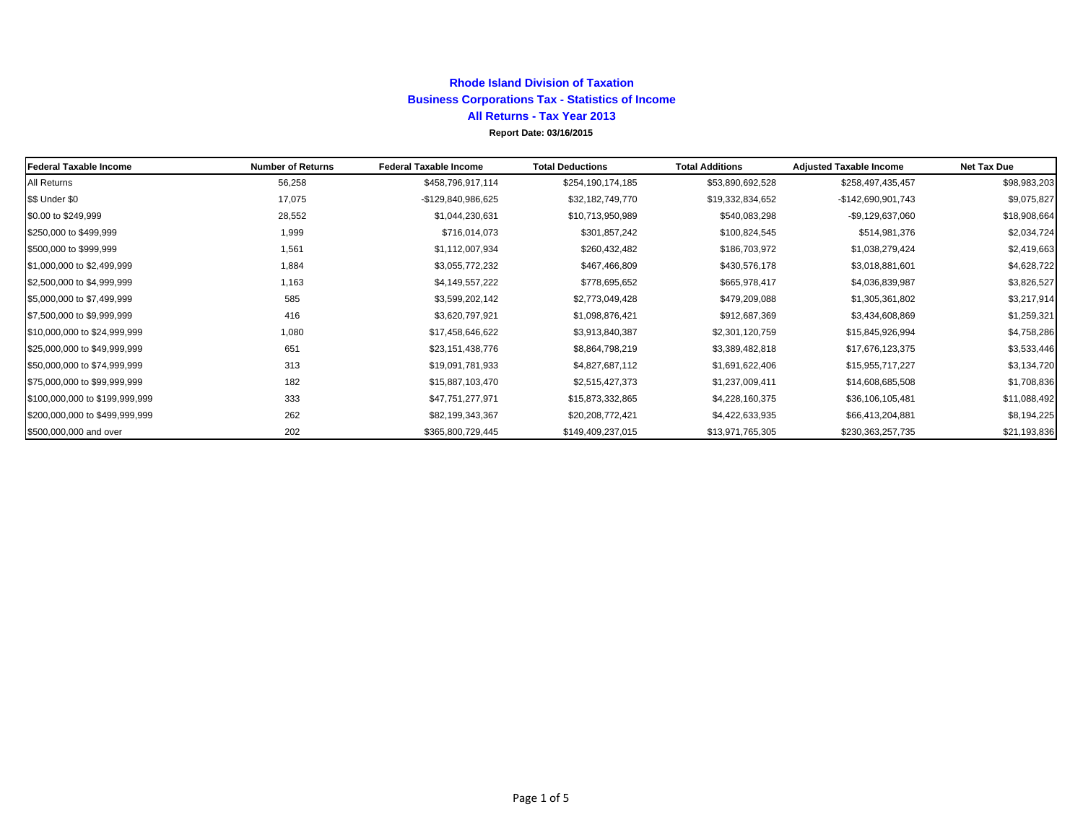### **Rhode Island Division of Taxation Business Corporations Tax - Statistics of Income All Returns - Tax Year 2013**

**Report Date: 03/16/2015**

| Federal Taxable Income         | <b>Number of Returns</b> | <b>Federal Taxable Income</b> | <b>Total Deductions</b> | <b>Total Additions</b> | <b>Adjusted Taxable Income</b> | <b>Net Tax Due</b> |
|--------------------------------|--------------------------|-------------------------------|-------------------------|------------------------|--------------------------------|--------------------|
| All Returns                    | 56,258                   | \$458,796,917,114             | \$254,190,174,185       | \$53,890,692,528       | \$258,497,435,457              | \$98,983,203       |
| \$\$ Under \$0                 | 17,075                   | -\$129,840,986,625            | \$32,182,749,770        | \$19,332,834,652       | -\$142,690,901,743             | \$9,075,827        |
| \$0.00 to \$249,999            | 28,552                   | \$1,044,230,631               | \$10,713,950,989        | \$540,083,298          | -\$9,129,637,060               | \$18,908,664       |
| \$250,000 to \$499,999         | 1,999                    | \$716,014,073                 | \$301,857,242           | \$100,824,545          | \$514,981,376                  | \$2,034,724        |
| \$500,000 to \$999,999         | 1,561                    | \$1,112,007,934               | \$260,432,482           | \$186,703,972          | \$1,038,279,424                | \$2,419,663        |
| \$1,000,000 to \$2,499,999     | 1,884                    | \$3,055,772,232               | \$467,466,809           | \$430,576,178          | \$3,018,881,601                | \$4,628,722        |
| \$2,500,000 to \$4,999,999     | 1,163                    | \$4,149,557,222               | \$778,695,652           | \$665,978,417          | \$4,036,839,987                | \$3,826,527        |
| \$5,000,000 to \$7,499,999     | 585                      | \$3,599,202,142               | \$2,773,049,428         | \$479,209,088          | \$1,305,361,802                | \$3,217,914        |
| \$7,500,000 to \$9,999,999     | 416                      | \$3,620,797,921               | \$1,098,876,421         | \$912,687,369          | \$3,434,608,869                | \$1,259,321        |
| \$10,000,000 to \$24,999,999   | 1,080                    | \$17,458,646,622              | \$3,913,840,387         | \$2,301,120,759        | \$15,845,926,994               | \$4,758,286        |
| \$25,000,000 to \$49,999,999   | 651                      | \$23,151,438,776              | \$8,864,798,219         | \$3,389,482,818        | \$17,676,123,375               | \$3,533,446        |
| \$50,000,000 to \$74,999,999   | 313                      | \$19,091,781,933              | \$4,827,687,112         | \$1,691,622,406        | \$15,955,717,227               | \$3,134,720        |
| \$75,000,000 to \$99,999,999   | 182                      | \$15,887,103,470              | \$2,515,427,373         | \$1,237,009,411        | \$14,608,685,508               | \$1,708,836        |
| \$100,000,000 to \$199,999,999 | 333                      | \$47,751,277,971              | \$15,873,332,865        | \$4,228,160,375        | \$36,106,105,481               | \$11,088,492       |
| \$200,000,000 to \$499,999,999 | 262                      | \$82,199,343,367              | \$20,208,772,421        | \$4,422,633,935        | \$66,413,204,881               | \$8,194,225        |
| \$500,000,000 and over         | 202                      | \$365,800,729,445             | \$149,409,237,015       | \$13,971,765,305       | \$230,363,257,735              | \$21,193,836       |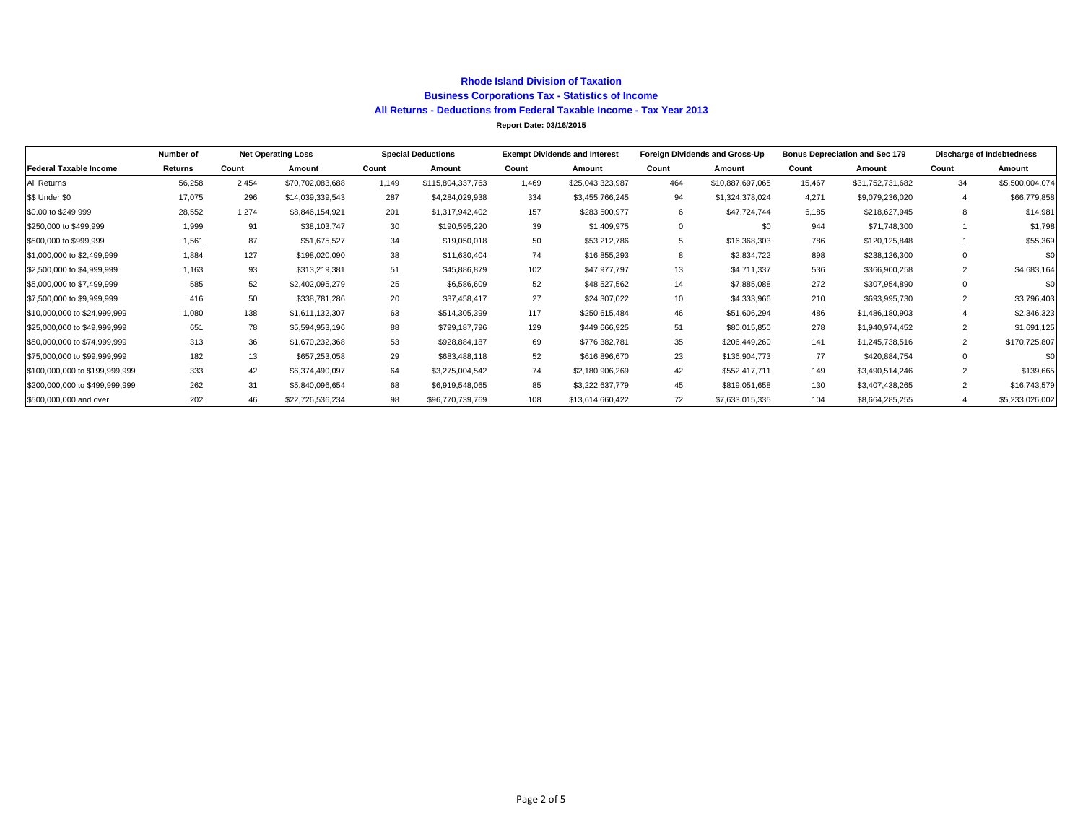#### **Rhode Island Division of Taxation Business Corporations Tax - Statistics of Income All Returns - Deductions from Federal Taxable Income - Tax Year 2013**

**Report Date: 03/16/2015**

|                                | Number of |       | <b>Net Operating Loss</b> | <b>Special Deductions</b> |                   | <b>Exempt Dividends and Interest</b> |                  | Foreign Dividends and Gross-Up |                  | <b>Bonus Depreciation and Sec 179</b> |                  |                | <b>Discharge of Indebtedness</b> |  |
|--------------------------------|-----------|-------|---------------------------|---------------------------|-------------------|--------------------------------------|------------------|--------------------------------|------------------|---------------------------------------|------------------|----------------|----------------------------------|--|
| Federal Taxable Income         | Returns   | Count | Amount                    | Count                     | Amount            | Count                                | Amount           | Count                          | Amount           | Count                                 | Amount           | Count          | Amount                           |  |
| All Returns                    | 56,258    | 2.454 | \$70,702,083,688          | 1.149                     | \$115,804,337,763 | 1.469                                | \$25,043,323,987 | 464                            | \$10,887,697,065 | 15,467                                | \$31,752,731,682 | 34             | \$5,500,004,074                  |  |
| \$\$ Under \$0                 | 17,075    | 296   | \$14,039,339,543          | 287                       | \$4,284,029,938   | 334                                  | \$3,455,766,245  | 94                             | \$1,324,378,024  | 4.271                                 | \$9,079,236,020  |                | \$66,779,858                     |  |
| \$0.00 to \$249,999            | 28,552    | 1.274 | \$8,846,154,921           | 201                       | \$1,317,942,402   | 157                                  | \$283,500,977    | 6                              | \$47,724,744     | 6.185                                 | \$218,627,945    | 8              | \$14,981                         |  |
| \$250,000 to \$499,999         | 1,999     | 91    | \$38,103,747              | 30                        | \$190,595,220     | 39                                   | \$1,409,975      | $\Omega$                       | \$0              | 944                                   | \$71,748,300     |                | \$1,798                          |  |
| \$500,000 to \$999,999         | 1.561     | 87    | \$51,675,527              | 34                        | \$19,050,018      | 50                                   | \$53,212,786     | 5                              | \$16,368,303     | 786                                   | \$120,125,848    |                | \$55,369                         |  |
| \$1,000,000 to \$2,499,999     | 1.884     | 127   | \$198,020,090             | 38                        | \$11,630,404      | 74                                   | \$16,855,293     | 8                              | \$2,834,722      | 898                                   | \$238,126,300    |                | \$0                              |  |
| \$2,500,000 to \$4,999,999     | 1,163     | 93    | \$313,219,381             | 51                        | \$45,886,879      | 102                                  | \$47,977,797     | 13                             | \$4,711,337      | 536                                   | \$366,900,258    | $\overline{2}$ | \$4,683,164                      |  |
| \$5,000,000 to \$7,499,999     | 585       | 52    | \$2,402,095,279           | 25                        | \$6,586,609       | 52                                   | \$48,527,562     | 14                             | \$7,885,088      | 272                                   | \$307,954,890    |                | \$0                              |  |
| \$7,500,000 to \$9,999,999     | 416       | 50    | \$338,781,286             | 20                        | \$37,458,417      | 27                                   | \$24,307,022     | 10                             | \$4,333,966      | 210                                   | \$693,995,730    | $\overline{2}$ | \$3,796,403                      |  |
| \$10,000,000 to \$24,999,999   | 1.080     | 138   | \$1,611,132,307           | 63                        | \$514,305,399     | 117                                  | \$250,615,484    | 46                             | \$51,606,294     | 486                                   | \$1,486,180,903  |                | \$2,346,323                      |  |
| \$25,000,000 to \$49,999,999   | 651       | 78    | \$5,594,953,196           | 88                        | \$799,187,796     | 129                                  | \$449,666,925    | 51                             | \$80,015,850     | 278                                   | \$1,940,974,452  | 2              | \$1,691,125                      |  |
| \$50,000,000 to \$74,999,999   | 313       | 36    | \$1,670,232,368           | 53                        | \$928,884,187     | 69                                   | \$776,382,781    | 35                             | \$206,449,260    | 141                                   | \$1,245,738,516  | 2              | \$170,725,807                    |  |
| \$75,000,000 to \$99,999,999   | 182       | 13    | \$657,253,058             | 29                        | \$683,488,118     | 52                                   | \$616,896,670    | 23                             | \$136,904,773    | 77                                    | \$420,884,754    |                | \$0                              |  |
| \$100,000,000 to \$199,999,999 | 333       | 42    | \$6,374,490,097           | 64                        | \$3,275,004,542   | 74                                   | \$2,180,906,269  | 42                             | \$552,417,711    | 149                                   | \$3,490,514,246  | 2              | \$139,665                        |  |
| \$200,000,000 to \$499,999,999 | 262       | 31    | \$5,840,096,654           | 68                        | \$6,919,548,065   | 85                                   | \$3,222,637,779  | 45                             | \$819,051,658    | 130                                   | \$3,407,438,265  | $\overline{2}$ | \$16,743,579                     |  |
| \$500,000,000 and over         | 202       | 46    | \$22,726,536,234          | 98                        | \$96,770,739,769  | 108                                  | \$13,614,660,422 | 72                             | \$7,633,015,335  | 104                                   | \$8,664,285,255  |                | \$5,233,026,002                  |  |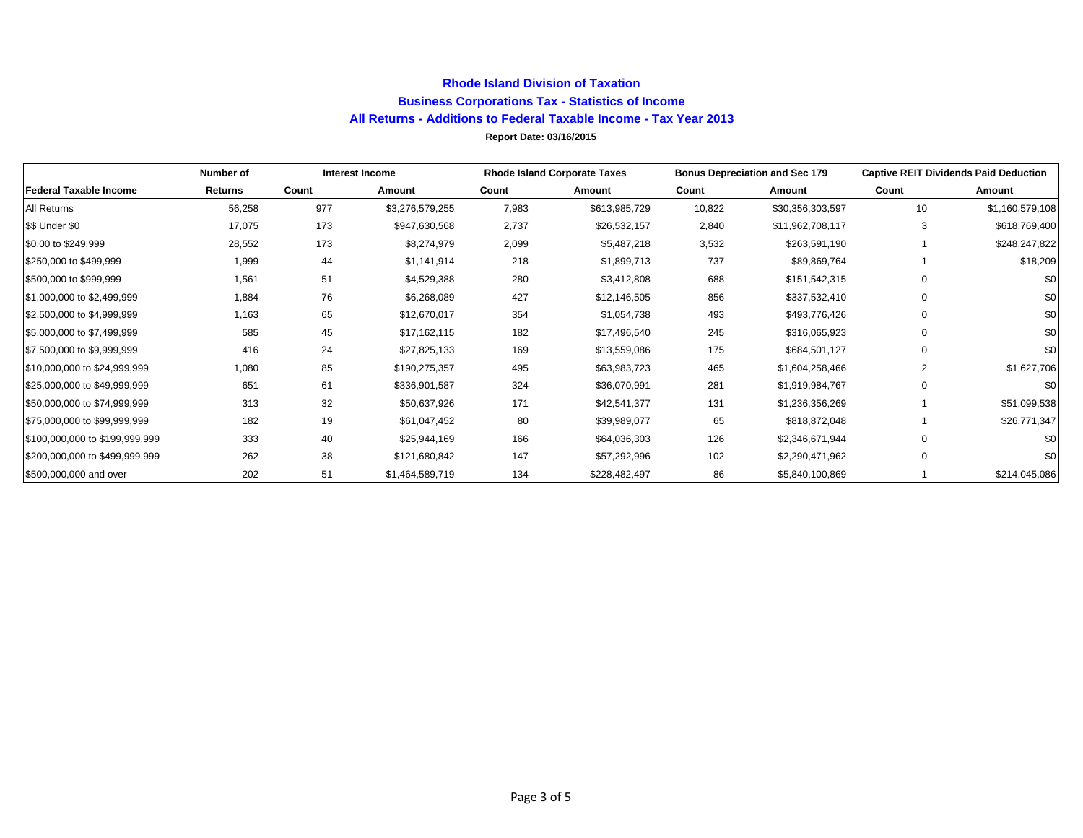### **Rhode Island Division of Taxation Business Corporations Tax - Statistics of Income All Returns - Additions to Federal Taxable Income - Tax Year 2013 Report Date: 03/16/2015**

|                                | Number of      |       | <b>Interest Income</b> | <b>Rhode Island Corporate Taxes</b> |               |        | <b>Bonus Depreciation and Sec 179</b> | <b>Captive REIT Dividends Paid Deduction</b> |                 |  |
|--------------------------------|----------------|-------|------------------------|-------------------------------------|---------------|--------|---------------------------------------|----------------------------------------------|-----------------|--|
| <b>Federal Taxable Income</b>  | <b>Returns</b> | Count | Amount                 | Count                               | Amount        | Count  | Amount                                | Count                                        | Amount          |  |
| All Returns                    | 56,258         | 977   | \$3,276,579,255        | 7,983                               | \$613,985,729 | 10,822 | \$30,356,303,597                      | 10                                           | \$1,160,579,108 |  |
| \$\$ Under \$0                 | 17,075         | 173   | \$947,630,568          | 2,737                               | \$26,532,157  | 2,840  | \$11,962,708,117                      | 3                                            | \$618,769,400   |  |
| \$0.00 to \$249,999            | 28,552         | 173   | \$8,274,979            | 2,099                               | \$5,487,218   | 3,532  | \$263,591,190                         |                                              | \$248,247,822   |  |
| \$250,000 to \$499,999         | 1,999          | 44    | \$1,141,914            | 218                                 | \$1,899,713   | 737    | \$89,869,764                          |                                              | \$18,209        |  |
| \$500,000 to \$999,999         | 1,561          | 51    | \$4,529,388            | 280                                 | \$3,412,808   | 688    | \$151,542,315                         | 0                                            | \$0             |  |
| \$1,000,000 to \$2,499,999     | 1,884          | 76    | \$6,268,089            | 427                                 | \$12,146,505  | 856    | \$337,532,410                         | 0                                            | \$0             |  |
| \$2,500,000 to \$4,999,999     | 1,163          | 65    | \$12,670,017           | 354                                 | \$1,054,738   | 493    | \$493,776,426                         | 0                                            | \$0             |  |
| \$5,000,000 to \$7,499,999     | 585            | 45    | \$17,162,115           | 182                                 | \$17,496,540  | 245    | \$316,065,923                         | $\mathbf 0$                                  | \$0             |  |
| \$7,500,000 to \$9,999,999     | 416            | 24    | \$27,825,133           | 169                                 | \$13,559,086  | 175    | \$684,501,127                         | $\mathbf 0$                                  | \$0             |  |
| \$10,000,000 to \$24,999,999   | 1,080          | 85    | \$190,275,357          | 495                                 | \$63,983,723  | 465    | \$1,604,258,466                       | 2                                            | \$1,627,706     |  |
| \$25,000,000 to \$49,999,999   | 651            | 61    | \$336,901,587          | 324                                 | \$36,070,991  | 281    | \$1,919,984,767                       | $\mathbf 0$                                  | \$0             |  |
| \$50,000,000 to \$74,999,999   | 313            | 32    | \$50,637,926           | 171                                 | \$42,541,377  | 131    | \$1,236,356,269                       |                                              | \$51,099,538    |  |
| \$75,000,000 to \$99,999,999   | 182            | 19    | \$61,047,452           | 80                                  | \$39,989,077  | 65     | \$818,872,048                         |                                              | \$26,771,347    |  |
| \$100,000,000 to \$199,999,999 | 333            | 40    | \$25,944,169           | 166                                 | \$64,036,303  | 126    | \$2,346,671,944                       | 0                                            | \$0             |  |
| \$200,000,000 to \$499,999.999 | 262            | 38    | \$121,680,842          | 147                                 | \$57,292,996  | 102    | \$2,290,471,962                       | 0                                            | \$0             |  |
| \$500,000,000 and over         | 202            | 51    | \$1,464,589,719        | 134                                 | \$228,482,497 | 86     | \$5,840,100,869                       |                                              | \$214,045,086   |  |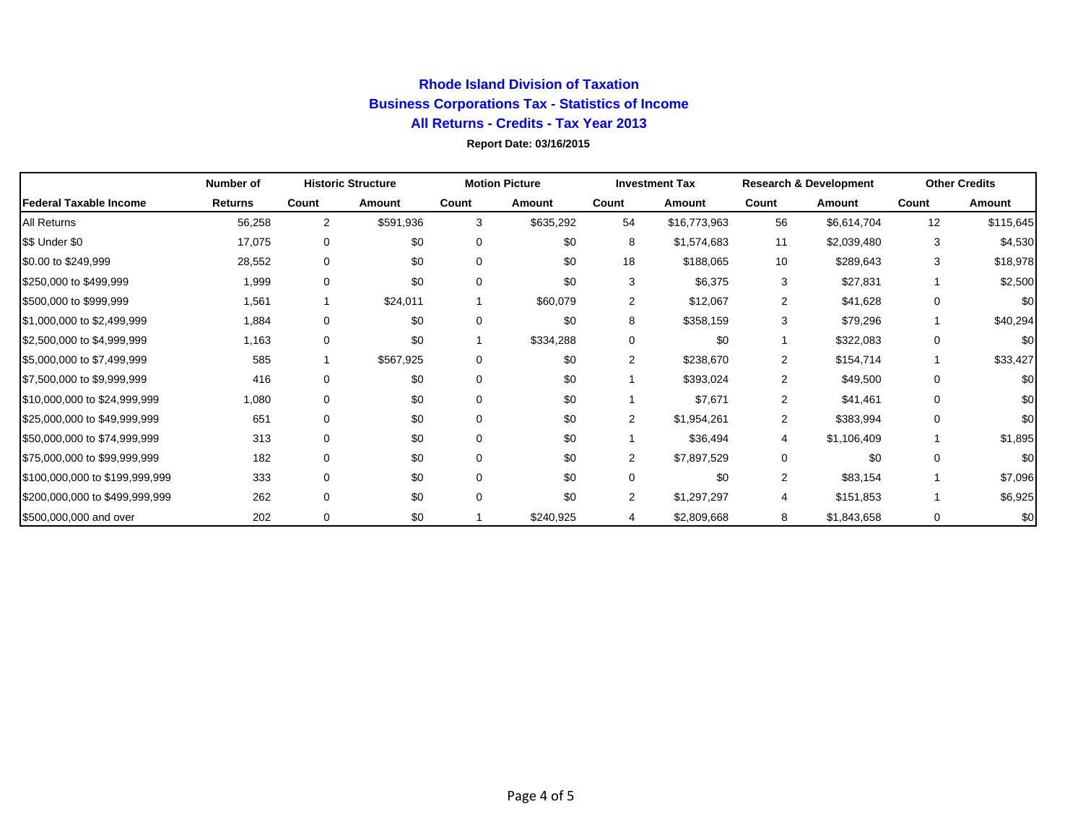# **Rhode Island Division of Taxation Business Corporations Tax - Statistics of Income All Returns - Credits - Tax Year 2013**

### **Report Date: 03/16/2015**

|                                | Number of      |                | <b>Historic Structure</b> | <b>Motion Picture</b> |           | <b>Investment Tax</b> |              | <b>Research &amp; Development</b> |             | <b>Other Credits</b> |           |
|--------------------------------|----------------|----------------|---------------------------|-----------------------|-----------|-----------------------|--------------|-----------------------------------|-------------|----------------------|-----------|
| <b>Federal Taxable Income</b>  | <b>Returns</b> | Count          | Amount                    | Count                 | Amount    | Count                 | Amount       | Count                             | Amount      | Count                | Amount    |
| <b>All Returns</b>             | 56,258         | $\overline{2}$ | \$591,936                 | 3                     | \$635,292 | 54                    | \$16,773,963 | 56                                | \$6,614,704 | 12                   | \$115,645 |
| \$\$ Under \$0                 | 17,075         | 0              | \$0                       | $\mathbf 0$           | \$0       | 8                     | \$1,574,683  | 11                                | \$2,039,480 | 3                    | \$4,530   |
| \$0.00 to \$249,999            | 28,552         | 0              | \$0                       | $\Omega$              | \$0       | 18                    | \$188,065    | 10                                | \$289,643   | 3                    | \$18,978  |
| \$250,000 to \$499,999         | 1,999          | 0              | \$0                       | $\Omega$              | \$0       | 3                     | \$6,375      | 3                                 | \$27,831    |                      | \$2,500   |
| \$500,000 to \$999,999         | 1,561          |                | \$24,011                  |                       | \$60,079  | 2                     | \$12,067     | 2                                 | \$41,628    | 0                    | \$0       |
| \$1,000,000 to \$2,499,999     | 1,884          | 0              | \$0                       | $\Omega$              | \$0       | 8                     | \$358,159    | 3                                 | \$79,296    |                      | \$40,294  |
| \$2,500,000 to \$4,999,999     | 1,163          | 0              | \$0                       |                       | \$334,288 | 0                     | \$0          |                                   | \$322,083   | 0                    | \$0       |
| \$5,000,000 to \$7,499,999     | 585            |                | \$567,925                 | $\mathbf 0$           | \$0       | $\overline{2}$        | \$238,670    | 2                                 | \$154,714   |                      | \$33,427  |
| \$7,500,000 to \$9,999,999     | 416            | $\mathbf 0$    | \$0                       | 0                     | \$0       |                       | \$393,024    | 2                                 | \$49,500    | 0                    | \$0       |
| \$10,000,000 to \$24,999,999   | 1,080          | 0              | \$0                       | $\Omega$              | \$0       |                       | \$7,671      | 2                                 | \$41,461    | 0                    | \$0       |
| \$25,000,000 to \$49,999,999   | 651            | 0              | \$0                       | $\Omega$              | \$0       | 2                     | \$1,954,261  | 2                                 | \$383,994   | 0                    | \$0       |
| \$50,000,000 to \$74,999,999   | 313            | $\mathbf 0$    | \$0                       | $\Omega$              | \$0       |                       | \$36,494     | 4                                 | \$1,106,409 |                      | \$1,895   |
| \$75,000,000 to \$99,999,999   | 182            | 0              | \$0                       | $\Omega$              | \$0       | $\overline{2}$        | \$7,897,529  | 0                                 | \$0         | 0                    | \$0       |
| \$100,000,000 to \$199,999,999 | 333            | $\mathbf 0$    | \$0                       | $\Omega$              | \$0       | $\Omega$              | \$0          | 2                                 | \$83,154    |                      | \$7,096   |
| \$200,000,000 to \$499,999,999 | 262            | 0              | \$0                       | $\Omega$              | \$0       | $\overline{2}$        | \$1,297,297  | 4                                 | \$151,853   |                      | \$6,925   |
| \$500,000,000 and over         | 202            | 0              | \$0                       |                       | \$240,925 | 4                     | \$2,809,668  | 8                                 | \$1,843,658 | 0                    | \$0       |